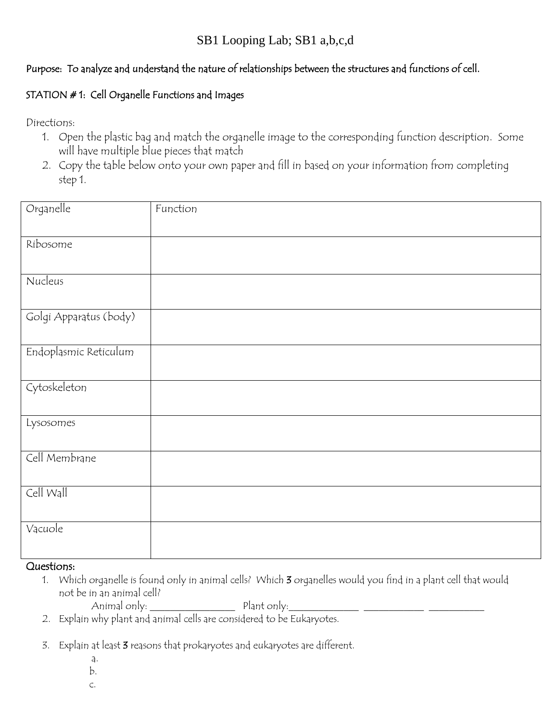#### Purpose: To analyze and understand the nature of relationships between the structures and functions of cell.

#### STATION # 1: Cell Organelle Functions and Images

Directions:

- 1. Open the plastic bag and match the organelle image to the corresponding function description. Some will have multiple blue pieces that match
- 2. Copy the table below onto your own paper and fill in based on your information from completing step 1.

| Organelle              | Function |
|------------------------|----------|
| Ribosome               |          |
| Nucleus                |          |
|                        |          |
| Golgi Apparatus (body) |          |
| Endoplasmic Reticulum  |          |
| Cytoskeleton           |          |
| Lysosomes              |          |
| Cell Membrane          |          |
| Cell Wall              |          |
| Vacuole                |          |

#### Questions:

- 1. Which organelle is found only in animal cells? Which 3 organelles would you find in a plant cell that would not be in an animal cell?
	- Animal only: \_\_\_\_\_\_\_\_\_\_\_\_\_\_\_\_\_ Plant only:\_\_\_\_\_\_\_\_\_\_\_\_\_\_ \_\_\_\_\_\_\_\_\_\_\_\_ \_\_\_\_\_\_\_\_\_\_\_
- 2. Explain why plant and animal cells are considered to be Eukaryotes.
- 3. Explain at least 3 reasons that prokaryotes and eukaryotes are different.
	- a.
	- b.
	- c.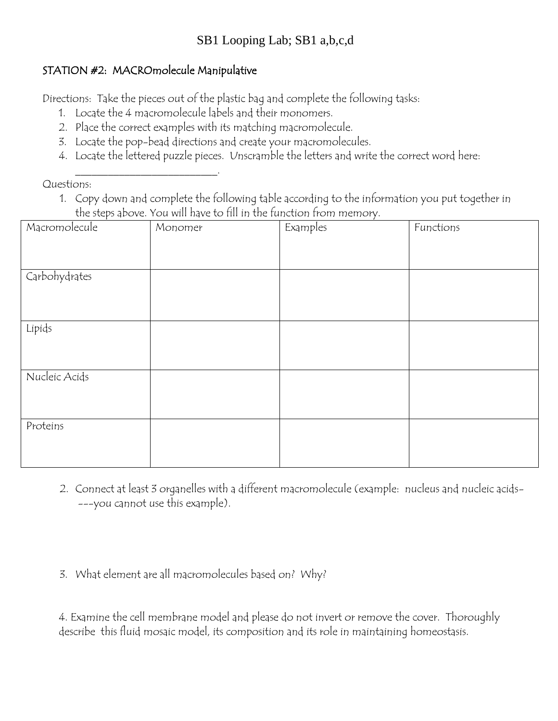## SB1 Looping Lab; SB1 a,b,c,d

### STATION #2: MACROmolecule Manipulative

\_\_\_\_\_\_\_\_\_\_\_\_\_\_\_\_\_\_\_\_\_\_\_\_\_\_.

Directions: Take the pieces out of the plastic bag and complete the following tasks:

- 1. Locate the 4 macromolecule labels and their monomers.
- 2. Place the correct examples with its matching macromolecule.
- 3. Locate the pop-bead directions and create your macromolecules.
- 4. Locate the lettered puzzle pieces. Unscramble the letters and write the correct word here:

Questions:

1. Copy down and complete the following table according to the information you put together in the steps above. You will have to fill in the function from memory.

| Macromolecule | Monomer | Examples | Functions |
|---------------|---------|----------|-----------|
|               |         |          |           |
|               |         |          |           |
| Carbohydrates |         |          |           |
|               |         |          |           |
|               |         |          |           |
| Lipids        |         |          |           |
|               |         |          |           |
|               |         |          |           |
| Nucleic Acids |         |          |           |
|               |         |          |           |
|               |         |          |           |
| Proteins      |         |          |           |
|               |         |          |           |
|               |         |          |           |

- 2. Connect at least 3 organelles with a different macromolecule (example: nucleus and nucleic acids- ---you cannot use this example).
- 3. What element are all macromolecules based on? Why?

4. Examine the cell membrane model and please do not invert or remove the cover. Thoroughly describe this fluid mosaic model, its composition and its role in maintaining homeostasis.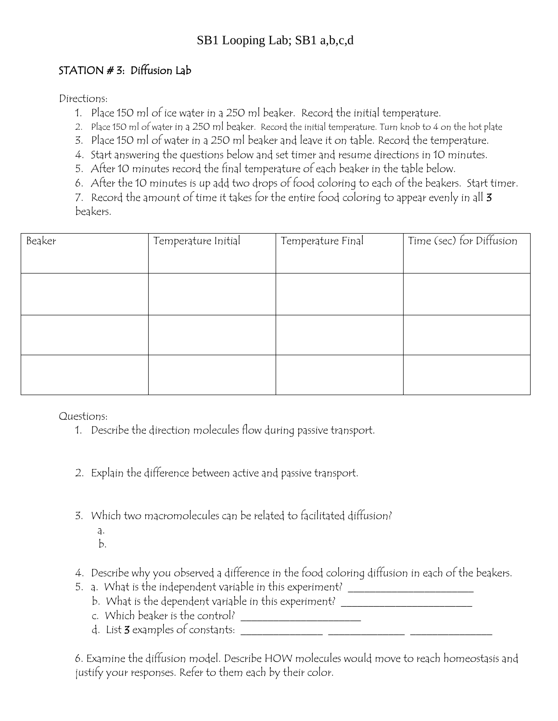## SB1 Looping Lab; SB1 a,b,c,d

### STATION # 3: Diffusion Lab

Directions:

- 1. Place 150 ml of ice water in a 250 ml beaker. Record the initial temperature.
- 2. Place 150 ml of water in a 250 ml beaker. Record the initial temperature. Turn knob to 4 on the hot plate
- 3. Place 150 ml of water in a 250 ml beaker and leave it on table. Record the temperature.
- 4. Start answering the questions below and set timer and resume directions in 10 minutes.
- 5. After 10 minutes record the final temperature of each beaker in the table below.
- 6. After the 10 minutes is up add two drops of food coloring to each of the beakers. Start timer.

7. Record the amount of time it takes for the entire food coloring to appear evenly in all 3 beakers.

| Beaker | Temperature Initial | Temperature Final | Time (sec) for Diffusion |
|--------|---------------------|-------------------|--------------------------|
|        |                     |                   |                          |
|        |                     |                   |                          |
|        |                     |                   |                          |
|        |                     |                   |                          |
|        |                     |                   |                          |
|        |                     |                   |                          |
|        |                     |                   |                          |

Questions:

- 1. Describe the direction molecules flow during passive transport.
- 2. Explain the difference between active and passive transport.
- 3. Which two macromolecules can be related to facilitated diffusion?
- a. b.
	- 4. Describe why you observed a difference in the food coloring diffusion in each of the beakers.
	- 5. a. What is the independent variable in this experiment? \_\_\_\_\_\_\_\_\_\_\_\_\_\_\_\_\_\_\_\_\_
		- b. What is the dependent variable in this experiment? \_\_\_\_\_\_\_\_\_\_\_\_\_\_\_\_\_\_\_\_\_\_\_\_\_\_
		- c. Which beaker is the control? \_\_\_\_\_\_\_\_\_\_\_\_\_\_\_\_\_\_\_\_\_\_
		- d. List 3 examples of constants: \_\_\_\_\_\_\_\_\_\_\_\_\_\_\_ \_\_\_\_\_\_\_\_\_\_\_\_\_\_ \_\_\_\_\_\_\_\_\_\_\_\_\_\_\_

6. Examine the diffusion model. Describe HOW molecules would move to reach homeostasis and justify your responses. Refer to them each by their color.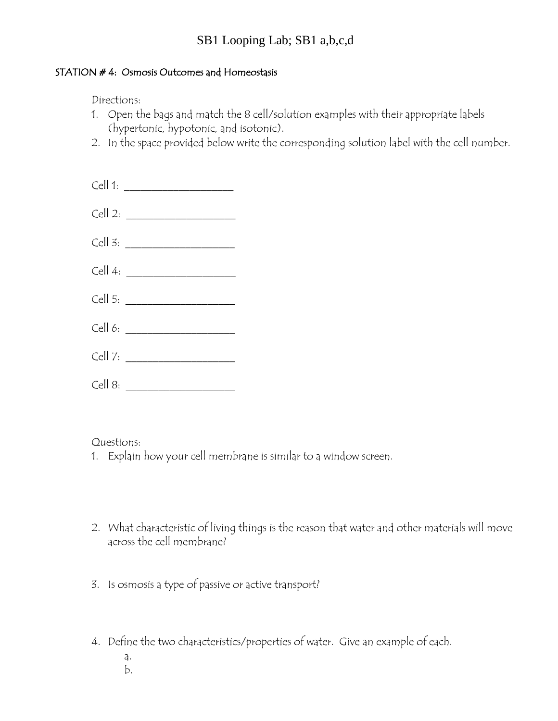## SB1 Looping Lab; SB1 a,b,c,d

#### STATION # 4: Osmosis Outcomes and Homeostasis

Directions:

- 1. Open the bags and match the 8 cell/solution examples with their appropriate labels (hypertonic, hypotonic, and isotonic).
- 2. In the space provided below write the corresponding solution label with the cell number.

| Cell 1: $\qquad \qquad$        |  |
|--------------------------------|--|
|                                |  |
|                                |  |
|                                |  |
| Cell 5: $\qquad \qquad$        |  |
| Cell 6: $\qquad \qquad$        |  |
|                                |  |
| Cell 8: ______________________ |  |

#### Questions:

- 1. Explain how your cell membrane is similar to a window screen.
- 2. What characteristic of living things is the reason that water and other materials will move across the cell membrane?
- 3. Is osmosis a type of passive or active transport?
- 4. Define the two characteristics/properties of water. Give an example of each.
	- a.
	- b.